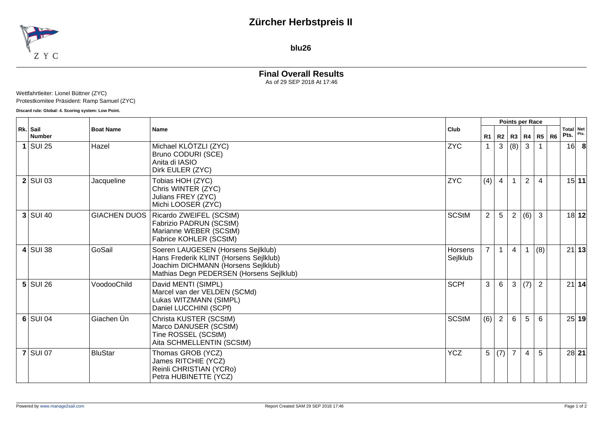## **Zürcher Herbstpreis II**



**blu26**

# **Final Overall Results**

As of 29 SEP 2018 At 17:46

#### Wettfahrtleiter: Lionel Büttner (ZYC) Protestkomitee Präsident: Ramp Samuel (ZYC)

**Discard rule: Global: 4. Scoring system: Low Point.**

|   | Rk. Sail<br><b>Number</b> | <b>Boat Name</b>    | <b>Name</b>                                                                                                                                                     |                            | Points per Race |                |                |                   |                |    |                   |       |
|---|---------------------------|---------------------|-----------------------------------------------------------------------------------------------------------------------------------------------------------------|----------------------------|-----------------|----------------|----------------|-------------------|----------------|----|-------------------|-------|
|   |                           |                     |                                                                                                                                                                 | Club                       | R1              |                |                | R2   R3   R4   R5 |                | R6 | Total Net<br>Pts. | Pts.  |
| 1 | $\vert$ SUI 25            | Hazel               | Michael KLÖTZLI (ZYC)<br>Bruno CODURI (SCE)<br>Anita di IASIO<br>Dirk EULER (ZYC)                                                                               | <b>ZYC</b>                 |                 | $\mathbf{3}$   | (8)            | 3                 |                |    | 16                | -8    |
|   | $2$ SUI 03                | Jacqueline          | Tobias HOH (ZYC)<br>Chris WINTER (ZYC)<br>Julians FREY (ZYC)<br>Michi LOOSER (ZYC)                                                                              | <b>ZYC</b>                 | (4)             | $\overline{4}$ |                | 2                 | $\overline{4}$ |    |                   | 15 11 |
|   | $3$ SUI 40                | <b>GIACHEN DUOS</b> | Ricardo ZWEIFEL (SCStM)<br>Fabrizio PADRUN (SCStM)<br>Marianne WEBER (SCStM)<br>Fabrice KOHLER (SCStM)                                                          | <b>SCStM</b>               | $\overline{2}$  | 5              | $\overline{2}$ | (6)               | $\mathbf{3}$   |    |                   | 18 12 |
|   | $4$ SUI 38                | GoSail              | Soeren LAUGESEN (Horsens Sejlklub)<br>Hans Frederik KLINT (Horsens Sejlklub)<br>Joachim DICHMANN (Horsens Sejlklub)<br>Mathias Degn PEDERSEN (Horsens Sejlklub) | <b>Horsens</b><br>Sejlklub | 7 <sup>1</sup>  | $\mathbf{1}$   | $\overline{4}$ |                   | (8)            |    |                   | 21 13 |
|   | $5$ SUI 26                | VoodooChild         | David MENTI (SIMPL)<br>Marcel van der VELDEN (SCMd)<br>Lukas WITZMANN (SIMPL)<br>Daniel LUCCHINI (SCPf)                                                         | <b>SCPf</b>                | $\mathbf{3}$    | 6              | 3              | (7)               | $\overline{2}$ |    |                   | 21 14 |
|   | $6$ SUI 04                | Giachen Ün          | Christa KUSTER (SCStM)<br>Marco DANUSER (SCStM)<br>Tine ROSSEL (SCStM)<br>Aita SCHMELLENTIN (SCStM)                                                             | <b>SCStM</b>               | $(6)$ 2         |                | 6              | 5                 | 6              |    |                   | 25 19 |
|   | $7$ SUI 07                | <b>BluStar</b>      | Thomas GROB (YCZ)<br>James RITCHIE (YCZ)<br>Reinli CHRISTIAN (YCRo)<br>Petra HUBINETTE (YCZ)                                                                    | <b>YCZ</b>                 | 5               | (7)            | $\overline{7}$ | $\overline{4}$    | 5              |    |                   | 28 21 |